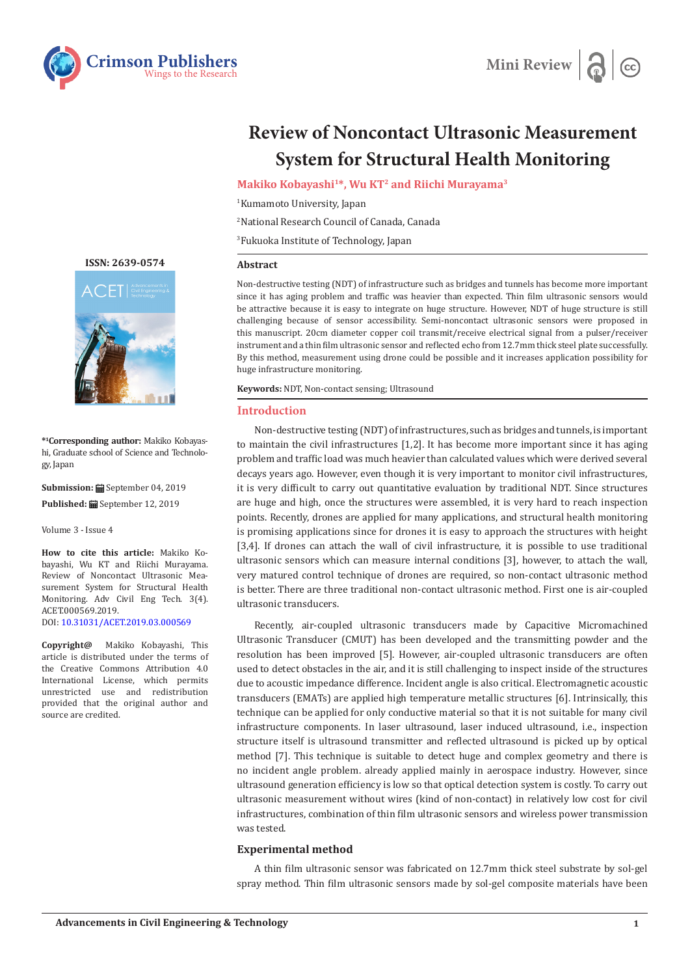



# **Review of Noncontact Ultrasonic Measurement System for Structural Health Monitoring**

**Makiko Kobayashi1\*, Wu KT2 and Riichi Murayama3**

1 Kumamoto University, Japan

2 National Research Council of Canada, Canada

3 Fukuoka Institute of Technology, Japan

#### **Abstract**

Non-destructive testing (NDT) of infrastructure such as bridges and tunnels has become more important since it has aging problem and traffic was heavier than expected. Thin film ultrasonic sensors would be attractive because it is easy to integrate on huge structure. However, NDT of huge structure is still challenging because of sensor accessibility. Semi-noncontact ultrasonic sensors were proposed in this manuscript. 20cm diameter copper coil transmit/receive electrical signal from a pulser/receiver instrument and a thin film ultrasonic sensor and reflected echo from 12.7mm thick steel plate successfully. By this method, measurement using drone could be possible and it increases application possibility for huge infrastructure monitoring.

**Keywords:** NDT, Non-contact sensing; Ultrasound

## **Introduction**

Non-destructive testing (NDT) of infrastructures, such as bridges and tunnels, is important to maintain the civil infrastructures [1,2]. It has become more important since it has aging problem and traffic load was much heavier than calculated values which were derived several decays years ago. However, even though it is very important to monitor civil infrastructures, it is very difficult to carry out quantitative evaluation by traditional NDT. Since structures are huge and high, once the structures were assembled, it is very hard to reach inspection points. Recently, drones are applied for many applications, and structural health monitoring is promising applications since for drones it is easy to approach the structures with height [3,4]. If drones can attach the wall of civil infrastructure, it is possible to use traditional ultrasonic sensors which can measure internal conditions [3], however, to attach the wall, very matured control technique of drones are required, so non-contact ultrasonic method is better. There are three traditional non-contact ultrasonic method. First one is air-coupled ultrasonic transducers.

Recently, air-coupled ultrasonic transducers made by Capacitive Micromachined Ultrasonic Transducer (CMUT) has been developed and the transmitting powder and the resolution has been improved [5]. However, air-coupled ultrasonic transducers are often used to detect obstacles in the air, and it is still challenging to inspect inside of the structures due to acoustic impedance difference. Incident angle is also critical. Electromagnetic acoustic transducers (EMATs) are applied high temperature metallic structures [6]. Intrinsically, this technique can be applied for only conductive material so that it is not suitable for many civil infrastructure components. In laser ultrasound, laser induced ultrasound, i.e., inspection structure itself is ultrasound transmitter and reflected ultrasound is picked up by optical method [7]. This technique is suitable to detect huge and complex geometry and there is no incident angle problem. already applied mainly in aerospace industry. However, since ultrasound generation efficiency is low so that optical detection system is costly. To carry out ultrasonic measurement without wires (kind of non-contact) in relatively low cost for civil infrastructures, combination of thin film ultrasonic sensors and wireless power transmission was tested.

### **Experimental method**

A thin film ultrasonic sensor was fabricated on 12.7mm thick steel substrate by sol-gel spray method. Thin film ultrasonic sensors made by sol-gel composite materials have been

**[ISSN: 2639-0574](https://www.crimsonpublishers.com/acet/)**



**\*1 Corresponding author:** Makiko Kobayashi, Graduate school of Science and Technology, Japan

**Submission:** September 04, 2019 **Published:** September 12, 2019

Volume 3 - Issue 4

**How to cite this article:** Makiko Kobayashi, Wu KT and Riichi Murayama. Review of Noncontact Ultrasonic Measurement System for Structural Health Monitoring. Adv Civil Eng Tech. 3(4). ACET.000569.2019. DOI: [10.31031/ACET.2019.03.000](http://dx.doi.org/10.31031/ACET.2019.03.000569)569

**Copyright@** Makiko Kobayashi, This article is distributed under the terms of the Creative Commons Attribution 4.0 International License, which permits unrestricted use and redistribution provided that the original author and source are credited.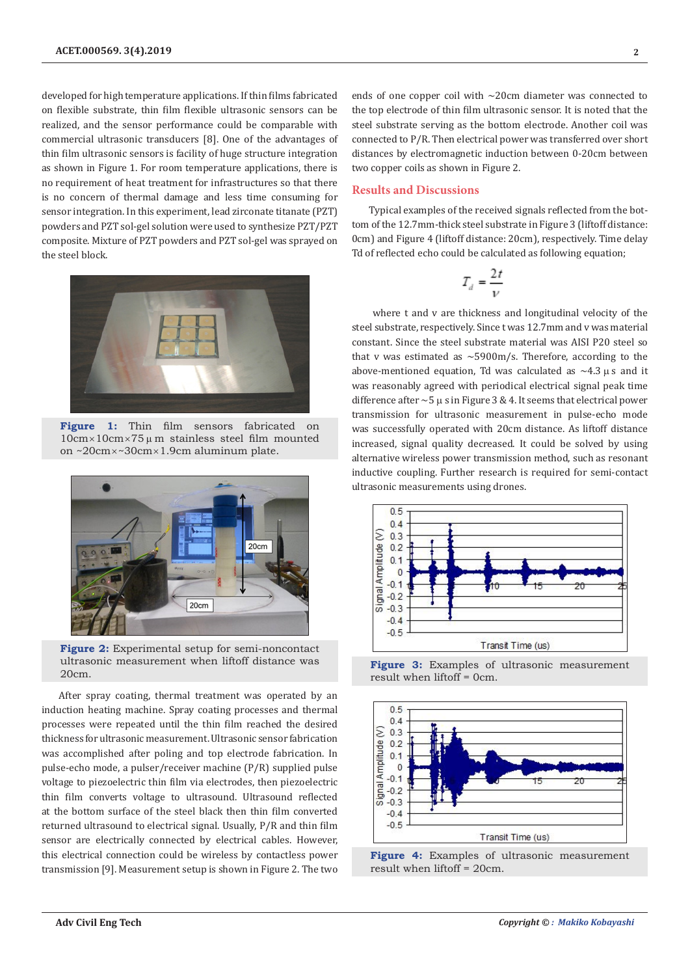developed for high temperature applications. If thin films fabricated on flexible substrate, thin film flexible ultrasonic sensors can be realized, and the sensor performance could be comparable with commercial ultrasonic transducers [8]. One of the advantages of thin film ultrasonic sensors is facility of huge structure integration as shown in Figure 1. For room temperature applications, there is no requirement of heat treatment for infrastructures so that there is no concern of thermal damage and less time consuming for sensor integration. In this experiment, lead zirconate titanate (PZT) powders and PZT sol-gel solution were used to synthesize PZT/PZT composite. Mixture of PZT powders and PZT sol-gel was sprayed on the steel block.



**Figure 1:** Thin film sensors fabricated on  $10cm \times 10cm \times 75 \mu$  m stainless steel film mounted on ~20cm×~30cm×1.9cm aluminum plate.



**Figure 2:** Experimental setup for semi-noncontact ultrasonic measurement when liftoff distance was 20cm.

After spray coating, thermal treatment was operated by an induction heating machine. Spray coating processes and thermal processes were repeated until the thin film reached the desired thickness for ultrasonic measurement. Ultrasonic sensor fabrication was accomplished after poling and top electrode fabrication. In pulse-echo mode, a pulser/receiver machine (P/R) supplied pulse voltage to piezoelectric thin film via electrodes, then piezoelectric thin film converts voltage to ultrasound. Ultrasound reflected at the bottom surface of the steel black then thin film converted returned ultrasound to electrical signal. Usually, P/R and thin film sensor are electrically connected by electrical cables. However, this electrical connection could be wireless by contactless power transmission [9]. Measurement setup is shown in Figure 2. The two

ends of one copper coil with ~20cm diameter was connected to the top electrode of thin film ultrasonic sensor. It is noted that the steel substrate serving as the bottom electrode. Another coil was connected to P/R. Then electrical power was transferred over short distances by electromagnetic induction between 0-20cm between two copper coils as shown in Figure 2.

### **Results and Discussions**

Typical examples of the received signals reflected from the bottom of the 12.7mm-thick steel substrate in Figure 3 (liftoff distance: 0cm) and Figure 4 (liftoff distance: 20cm), respectively. Time delay Td of reflected echo could be calculated as following equation;

$$
T_d = \frac{2t}{\nu}
$$

 where t and v are thickness and longitudinal velocity of the steel substrate, respectively. Since t was 12.7mm and v was material constant. Since the steel substrate material was AISI P20 steel so that v was estimated as  $\sim$  5900m/s. Therefore, according to the above-mentioned equation, Td was calculated as  $\sim$ 4.3  $\mu$  s and it was reasonably agreed with periodical electrical signal peak time difference after  $\sim$  5  $\mu$  s in Figure 3 & 4. It seems that electrical power transmission for ultrasonic measurement in pulse-echo mode was successfully operated with 20cm distance. As liftoff distance increased, signal quality decreased. It could be solved by using alternative wireless power transmission method, such as resonant inductive coupling. Further research is required for semi-contact ultrasonic measurements using drones.



**Figure 3:** Examples of ultrasonic measurement result when liftoff = 0cm.